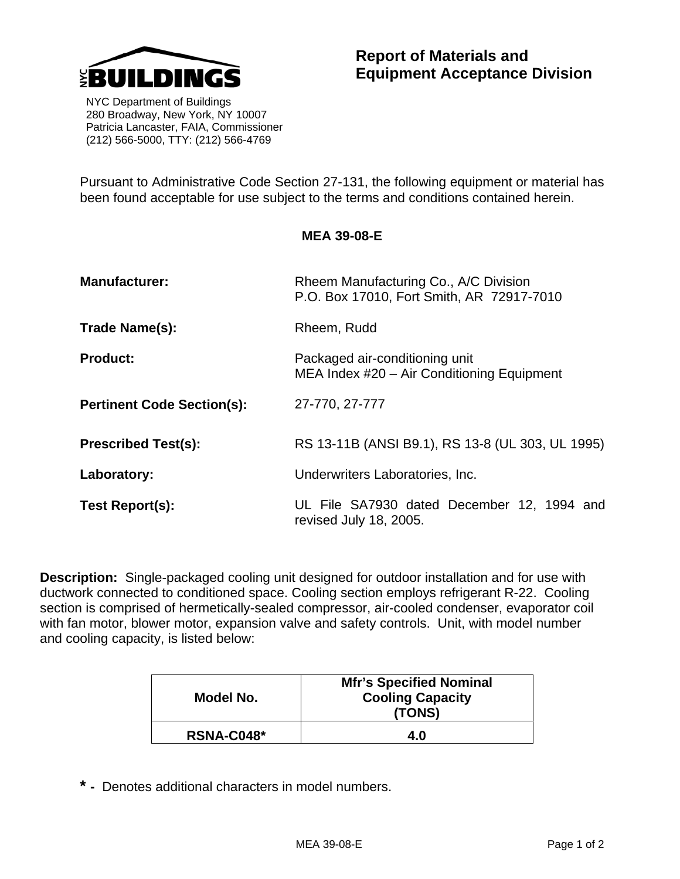

 NYC Department of Buildings 280 Broadway, New York, NY 10007 Patricia Lancaster, FAIA, Commissioner (212) 566-5000, TTY: (212) 566-4769

Pursuant to Administrative Code Section 27-131, the following equipment or material has been found acceptable for use subject to the terms and conditions contained herein.

**MEA 39-08-E** 

| <b>Manufacturer:</b>              | Rheem Manufacturing Co., A/C Division<br>P.O. Box 17010, Fort Smith, AR 72917-7010 |
|-----------------------------------|------------------------------------------------------------------------------------|
| Trade Name(s):                    | Rheem, Rudd                                                                        |
| <b>Product:</b>                   | Packaged air-conditioning unit<br>MEA Index #20 - Air Conditioning Equipment       |
| <b>Pertinent Code Section(s):</b> | 27-770, 27-777                                                                     |
| <b>Prescribed Test(s):</b>        | RS 13-11B (ANSI B9.1), RS 13-8 (UL 303, UL 1995)                                   |
| Laboratory:                       | Underwriters Laboratories, Inc.                                                    |
| <b>Test Report(s):</b>            | UL File SA7930 dated December 12, 1994 and<br>revised July 18, 2005.               |

**Description:** Single-packaged cooling unit designed for outdoor installation and for use with ductwork connected to conditioned space. Cooling section employs refrigerant R-22. Cooling section is comprised of hermetically-sealed compressor, air-cooled condenser, evaporator coil with fan motor, blower motor, expansion valve and safety controls. Unit, with model number and cooling capacity, is listed below:

| Model No.  | <b>Mfr's Specified Nominal</b><br><b>Cooling Capacity</b><br>(TONS) |
|------------|---------------------------------------------------------------------|
| RSNA-C048* | 4.0                                                                 |

**\* -** Denotes additional characters in model numbers.